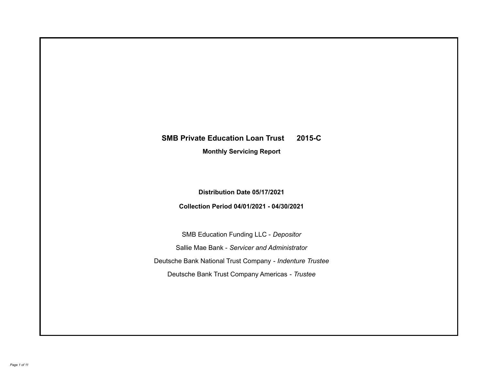# **SMB Private Education Loan Trust 2015-C**

**Monthly Servicing Report**

**Distribution Date 05/17/2021**

**Collection Period 04/01/2021 - 04/30/2021**

SMB Education Funding LLC - *Depositor* Sallie Mae Bank - *Servicer and Administrator* Deutsche Bank National Trust Company - *Indenture Trustee* Deutsche Bank Trust Company Americas - *Trustee*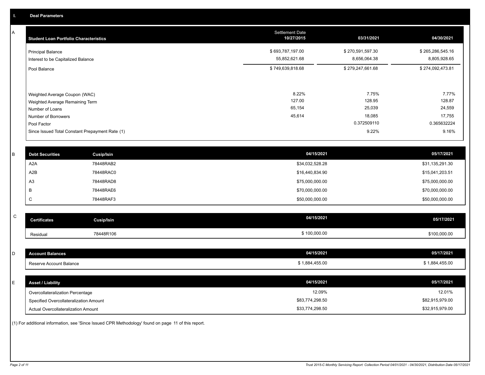A

| <b>Student Loan Portfolio Characteristics</b>                                                                             | <b>Settlement Date</b><br>10/27/2015 | 03/31/2021                                         | 04/30/2021                                         |
|---------------------------------------------------------------------------------------------------------------------------|--------------------------------------|----------------------------------------------------|----------------------------------------------------|
| <b>Principal Balance</b><br>Interest to be Capitalized Balance                                                            | \$693,787,197.00<br>55,852,621.68    | \$270,591,597.30<br>8,656,064.38                   | \$265,286,545.16<br>8,805,928.65                   |
| Pool Balance                                                                                                              | \$749,639,818.68                     | \$279,247,661.68                                   | \$274,092,473.81                                   |
| Weighted Average Coupon (WAC)<br>Weighted Average Remaining Term<br>Number of Loans<br>Number of Borrowers<br>Pool Factor | 8.22%<br>127.00<br>65,154<br>45,614  | 7.75%<br>128.95<br>25,039<br>18,085<br>0.372509110 | 7.77%<br>128.87<br>24,559<br>17,755<br>0.365632224 |
| Since Issued Total Constant Prepayment Rate (1)                                                                           |                                      | 9.22%                                              | 9.16%                                              |

| <b>Debt Securities</b> | <b>Cusip/Isin</b> | 04/15/2021      | 05/17/2021      |
|------------------------|-------------------|-----------------|-----------------|
| A2A                    | 78448RAB2         | \$34,032,528.28 | \$31,135,291.30 |
| A2B                    | 78448RAC0         | \$16,440,834.90 | \$15,041,203.51 |
| A <sub>3</sub>         | 78448RAD8         | \$75,000,000.00 | \$75,000,000.00 |
|                        | 78448RAE6         | \$70,000,000.00 | \$70,000,000.00 |
| ◡                      | 78448RAF3         | \$50,000,000.00 | \$50,000,000.00 |
|                        |                   |                 |                 |

| ~<br>້ | <b>Certificates</b> | Cusip/Isin | 04/15/2021   | 05/17/2021   |
|--------|---------------------|------------|--------------|--------------|
|        | Residual            | 78448R106  | \$100,000.00 | \$100,000.00 |

| D  | <b>Account Balances</b>                | 04/15/2021      | 05/17/2021      |
|----|----------------------------------------|-----------------|-----------------|
|    | Reserve Account Balance                | \$1,884,455.00  | \$1,884,455.00  |
|    |                                        |                 |                 |
| ь. | <b>Asset / Liability</b>               | 04/15/2021      | 05/17/2021      |
|    | Overcollateralization Percentage       | 12.09%          | 12.01%          |
|    | Specified Overcollateralization Amount | \$83,774,298.50 | \$82,915,979.00 |
|    | Actual Overcollateralization Amount    | \$33,774,298.50 | \$32,915,979.00 |

(1) For additional information, see 'Since Issued CPR Methodology' found on page 11 of this report.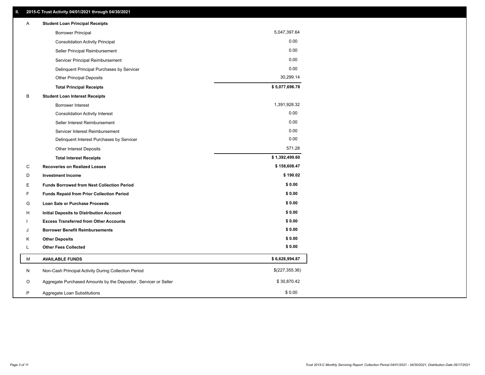| 5,047,397.64<br><b>Borrower Principal</b><br>0.00<br><b>Consolidation Activity Principal</b><br>0.00<br>Seller Principal Reimbursement<br>0.00<br>Servicer Principal Reimbursement<br>0.00<br>Delinquent Principal Purchases by Servicer<br>30,299.14<br><b>Other Principal Deposits</b><br>\$5,077,696.78<br><b>Total Principal Receipts</b><br>В<br><b>Student Loan Interest Receipts</b><br>1,391,928.32<br><b>Borrower Interest</b><br>0.00<br><b>Consolidation Activity Interest</b><br>0.00<br>Seller Interest Reimbursement<br>0.00<br>Servicer Interest Reimbursement<br>0.00<br>Delinquent Interest Purchases by Servicer<br>571.28<br>Other Interest Deposits<br>\$1,392,499.60<br><b>Total Interest Receipts</b><br>\$158,608.47<br>C<br><b>Recoveries on Realized Losses</b><br>\$190.02<br><b>Investment Income</b><br>D<br>\$0.00<br>Е<br><b>Funds Borrowed from Next Collection Period</b><br>\$0.00<br>F<br><b>Funds Repaid from Prior Collection Period</b><br>\$0.00<br>Loan Sale or Purchase Proceeds<br>G<br>\$0.00<br><b>Initial Deposits to Distribution Account</b><br>н<br>\$0.00<br><b>Excess Transferred from Other Accounts</b><br>\$0.00<br><b>Borrower Benefit Reimbursements</b><br>J<br>\$0.00<br><b>Other Deposits</b><br>Κ<br>\$0.00<br><b>Other Fees Collected</b><br>L<br>\$6,628,994.87<br><b>AVAILABLE FUNDS</b><br>м<br>\$(227,355.36)<br>N<br>Non-Cash Principal Activity During Collection Period<br>\$30,870.42<br>Aggregate Purchased Amounts by the Depositor, Servicer or Seller<br>O<br>\$0.00<br>P<br>Aggregate Loan Substitutions | Α | <b>Student Loan Principal Receipts</b> |  |
|----------------------------------------------------------------------------------------------------------------------------------------------------------------------------------------------------------------------------------------------------------------------------------------------------------------------------------------------------------------------------------------------------------------------------------------------------------------------------------------------------------------------------------------------------------------------------------------------------------------------------------------------------------------------------------------------------------------------------------------------------------------------------------------------------------------------------------------------------------------------------------------------------------------------------------------------------------------------------------------------------------------------------------------------------------------------------------------------------------------------------------------------------------------------------------------------------------------------------------------------------------------------------------------------------------------------------------------------------------------------------------------------------------------------------------------------------------------------------------------------------------------------------------------------------------------------------------|---|----------------------------------------|--|
|                                                                                                                                                                                                                                                                                                                                                                                                                                                                                                                                                                                                                                                                                                                                                                                                                                                                                                                                                                                                                                                                                                                                                                                                                                                                                                                                                                                                                                                                                                                                                                                  |   |                                        |  |
|                                                                                                                                                                                                                                                                                                                                                                                                                                                                                                                                                                                                                                                                                                                                                                                                                                                                                                                                                                                                                                                                                                                                                                                                                                                                                                                                                                                                                                                                                                                                                                                  |   |                                        |  |
|                                                                                                                                                                                                                                                                                                                                                                                                                                                                                                                                                                                                                                                                                                                                                                                                                                                                                                                                                                                                                                                                                                                                                                                                                                                                                                                                                                                                                                                                                                                                                                                  |   |                                        |  |
|                                                                                                                                                                                                                                                                                                                                                                                                                                                                                                                                                                                                                                                                                                                                                                                                                                                                                                                                                                                                                                                                                                                                                                                                                                                                                                                                                                                                                                                                                                                                                                                  |   |                                        |  |
|                                                                                                                                                                                                                                                                                                                                                                                                                                                                                                                                                                                                                                                                                                                                                                                                                                                                                                                                                                                                                                                                                                                                                                                                                                                                                                                                                                                                                                                                                                                                                                                  |   |                                        |  |
|                                                                                                                                                                                                                                                                                                                                                                                                                                                                                                                                                                                                                                                                                                                                                                                                                                                                                                                                                                                                                                                                                                                                                                                                                                                                                                                                                                                                                                                                                                                                                                                  |   |                                        |  |
|                                                                                                                                                                                                                                                                                                                                                                                                                                                                                                                                                                                                                                                                                                                                                                                                                                                                                                                                                                                                                                                                                                                                                                                                                                                                                                                                                                                                                                                                                                                                                                                  |   |                                        |  |
|                                                                                                                                                                                                                                                                                                                                                                                                                                                                                                                                                                                                                                                                                                                                                                                                                                                                                                                                                                                                                                                                                                                                                                                                                                                                                                                                                                                                                                                                                                                                                                                  |   |                                        |  |
|                                                                                                                                                                                                                                                                                                                                                                                                                                                                                                                                                                                                                                                                                                                                                                                                                                                                                                                                                                                                                                                                                                                                                                                                                                                                                                                                                                                                                                                                                                                                                                                  |   |                                        |  |
|                                                                                                                                                                                                                                                                                                                                                                                                                                                                                                                                                                                                                                                                                                                                                                                                                                                                                                                                                                                                                                                                                                                                                                                                                                                                                                                                                                                                                                                                                                                                                                                  |   |                                        |  |
|                                                                                                                                                                                                                                                                                                                                                                                                                                                                                                                                                                                                                                                                                                                                                                                                                                                                                                                                                                                                                                                                                                                                                                                                                                                                                                                                                                                                                                                                                                                                                                                  |   |                                        |  |
|                                                                                                                                                                                                                                                                                                                                                                                                                                                                                                                                                                                                                                                                                                                                                                                                                                                                                                                                                                                                                                                                                                                                                                                                                                                                                                                                                                                                                                                                                                                                                                                  |   |                                        |  |
|                                                                                                                                                                                                                                                                                                                                                                                                                                                                                                                                                                                                                                                                                                                                                                                                                                                                                                                                                                                                                                                                                                                                                                                                                                                                                                                                                                                                                                                                                                                                                                                  |   |                                        |  |
|                                                                                                                                                                                                                                                                                                                                                                                                                                                                                                                                                                                                                                                                                                                                                                                                                                                                                                                                                                                                                                                                                                                                                                                                                                                                                                                                                                                                                                                                                                                                                                                  |   |                                        |  |
|                                                                                                                                                                                                                                                                                                                                                                                                                                                                                                                                                                                                                                                                                                                                                                                                                                                                                                                                                                                                                                                                                                                                                                                                                                                                                                                                                                                                                                                                                                                                                                                  |   |                                        |  |
|                                                                                                                                                                                                                                                                                                                                                                                                                                                                                                                                                                                                                                                                                                                                                                                                                                                                                                                                                                                                                                                                                                                                                                                                                                                                                                                                                                                                                                                                                                                                                                                  |   |                                        |  |
|                                                                                                                                                                                                                                                                                                                                                                                                                                                                                                                                                                                                                                                                                                                                                                                                                                                                                                                                                                                                                                                                                                                                                                                                                                                                                                                                                                                                                                                                                                                                                                                  |   |                                        |  |
|                                                                                                                                                                                                                                                                                                                                                                                                                                                                                                                                                                                                                                                                                                                                                                                                                                                                                                                                                                                                                                                                                                                                                                                                                                                                                                                                                                                                                                                                                                                                                                                  |   |                                        |  |
|                                                                                                                                                                                                                                                                                                                                                                                                                                                                                                                                                                                                                                                                                                                                                                                                                                                                                                                                                                                                                                                                                                                                                                                                                                                                                                                                                                                                                                                                                                                                                                                  |   |                                        |  |
|                                                                                                                                                                                                                                                                                                                                                                                                                                                                                                                                                                                                                                                                                                                                                                                                                                                                                                                                                                                                                                                                                                                                                                                                                                                                                                                                                                                                                                                                                                                                                                                  |   |                                        |  |
|                                                                                                                                                                                                                                                                                                                                                                                                                                                                                                                                                                                                                                                                                                                                                                                                                                                                                                                                                                                                                                                                                                                                                                                                                                                                                                                                                                                                                                                                                                                                                                                  |   |                                        |  |
|                                                                                                                                                                                                                                                                                                                                                                                                                                                                                                                                                                                                                                                                                                                                                                                                                                                                                                                                                                                                                                                                                                                                                                                                                                                                                                                                                                                                                                                                                                                                                                                  |   |                                        |  |
|                                                                                                                                                                                                                                                                                                                                                                                                                                                                                                                                                                                                                                                                                                                                                                                                                                                                                                                                                                                                                                                                                                                                                                                                                                                                                                                                                                                                                                                                                                                                                                                  |   |                                        |  |
|                                                                                                                                                                                                                                                                                                                                                                                                                                                                                                                                                                                                                                                                                                                                                                                                                                                                                                                                                                                                                                                                                                                                                                                                                                                                                                                                                                                                                                                                                                                                                                                  |   |                                        |  |
|                                                                                                                                                                                                                                                                                                                                                                                                                                                                                                                                                                                                                                                                                                                                                                                                                                                                                                                                                                                                                                                                                                                                                                                                                                                                                                                                                                                                                                                                                                                                                                                  |   |                                        |  |
|                                                                                                                                                                                                                                                                                                                                                                                                                                                                                                                                                                                                                                                                                                                                                                                                                                                                                                                                                                                                                                                                                                                                                                                                                                                                                                                                                                                                                                                                                                                                                                                  |   |                                        |  |
|                                                                                                                                                                                                                                                                                                                                                                                                                                                                                                                                                                                                                                                                                                                                                                                                                                                                                                                                                                                                                                                                                                                                                                                                                                                                                                                                                                                                                                                                                                                                                                                  |   |                                        |  |
|                                                                                                                                                                                                                                                                                                                                                                                                                                                                                                                                                                                                                                                                                                                                                                                                                                                                                                                                                                                                                                                                                                                                                                                                                                                                                                                                                                                                                                                                                                                                                                                  |   |                                        |  |
|                                                                                                                                                                                                                                                                                                                                                                                                                                                                                                                                                                                                                                                                                                                                                                                                                                                                                                                                                                                                                                                                                                                                                                                                                                                                                                                                                                                                                                                                                                                                                                                  |   |                                        |  |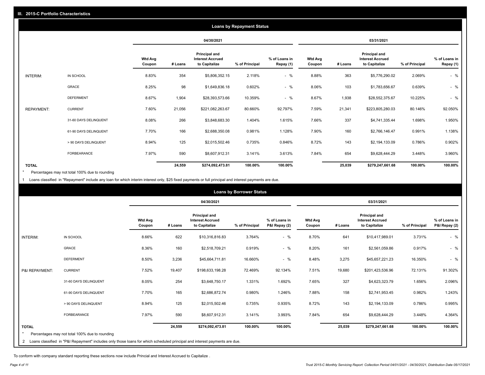| <b>Loans by Repayment Status</b> |                       |                          |            |                                                           |                |                            |                          |         |                                                           |                |                            |
|----------------------------------|-----------------------|--------------------------|------------|-----------------------------------------------------------|----------------|----------------------------|--------------------------|---------|-----------------------------------------------------------|----------------|----------------------------|
|                                  |                       |                          | 04/30/2021 |                                                           |                | 03/31/2021                 |                          |         |                                                           |                |                            |
|                                  |                       | <b>Wtd Avg</b><br>Coupon | # Loans    | Principal and<br><b>Interest Accrued</b><br>to Capitalize | % of Principal | % of Loans in<br>Repay (1) | <b>Wtd Avg</b><br>Coupon | # Loans | Principal and<br><b>Interest Accrued</b><br>to Capitalize | % of Principal | % of Loans in<br>Repay (1) |
| INTERIM:                         | IN SCHOOL             | 8.83%                    | 354        | \$5,806,352.15                                            | 2.118%         | $-$ %                      | 8.88%                    | 363     | \$5,776,290.02                                            | 2.069%         | $-$ %                      |
|                                  | GRACE                 | 8.25%                    | 98         | \$1,649,836.18                                            | 0.602%         | $-$ %                      | 8.06%                    | 103     | \$1,783,656.67                                            | 0.639%         | $-$ %                      |
|                                  | <b>DEFERMENT</b>      | 8.67%                    | 1,904      | \$28,393,573.66                                           | 10.359%        | $-$ %                      | 8.67%                    | 1,938   | \$28,552,375.67                                           | 10.225%        | $-$ %                      |
| <b>REPAYMENT:</b>                | <b>CURRENT</b>        | 7.60%                    | 21,056     | \$221,082,263.67                                          | 80.660%        | 92.797%                    | 7.59%                    | 21,341  | \$223,805,280.03                                          | 80.146%        | 92.050%                    |
|                                  | 31-60 DAYS DELINQUENT | 8.08%                    | 266        | \$3,848,683.30                                            | 1.404%         | 1.615%                     | 7.66%                    | 337     | \$4,741,335.44                                            | 1.698%         | 1.950%                     |
|                                  | 61-90 DAYS DELINQUENT | 7.70%                    | 166        | \$2,688,350.08                                            | 0.981%         | 1.128%                     | 7.90%                    | 160     | \$2,766,146.47                                            | 0.991%         | 1.138%                     |
|                                  | > 90 DAYS DELINQUENT  | 8.94%                    | 125        | \$2,015,502.46                                            | 0.735%         | 0.846%                     | 8.72%                    | 143     | \$2,194,133.09                                            | 0.786%         | 0.902%                     |
|                                  | <b>FORBEARANCE</b>    | 7.97%                    | 590        | \$8,607,912.31                                            | 3.141%         | 3.613%                     | 7.84%                    | 654     | \$9,628,444.29                                            | 3.448%         | 3.960%                     |
| <b>TOTAL</b>                     |                       |                          | 24,559     | \$274,092,473.81                                          | 100.00%        | 100.00%                    |                          | 25,039  | \$279,247,661.68                                          | 100.00%        | 100.00%                    |

Percentages may not total 100% due to rounding \*

1 Loans classified in "Repayment" include any loan for which interim interest only, \$25 fixed payments or full principal and interest payments are due.

|                | <b>Loans by Borrower Status</b>                                                                                            |                          |         |                                                                  |                |                                |                          |         |                                                           |                |                                |
|----------------|----------------------------------------------------------------------------------------------------------------------------|--------------------------|---------|------------------------------------------------------------------|----------------|--------------------------------|--------------------------|---------|-----------------------------------------------------------|----------------|--------------------------------|
|                |                                                                                                                            |                          |         | 04/30/2021                                                       |                |                                | 03/31/2021               |         |                                                           |                |                                |
|                |                                                                                                                            | <b>Wtd Avg</b><br>Coupon | # Loans | <b>Principal and</b><br><b>Interest Accrued</b><br>to Capitalize | % of Principal | % of Loans in<br>P&I Repay (2) | <b>Wtd Avg</b><br>Coupon | # Loans | Principal and<br><b>Interest Accrued</b><br>to Capitalize | % of Principal | % of Loans in<br>P&I Repay (2) |
| INTERIM:       | IN SCHOOL                                                                                                                  | 8.66%                    | 622     | \$10,316,816.83                                                  | 3.764%         | $-$ %                          | 8.70%                    | 641     | \$10,417,989.01                                           | 3.731%         | $-$ %                          |
|                | GRACE                                                                                                                      | 8.36%                    | 160     | \$2,518,709.21                                                   | 0.919%         | $-$ %                          | 8.20%                    | 161     | \$2,561,059.86                                            | 0.917%         | $-$ %                          |
|                | <b>DEFERMENT</b>                                                                                                           | 8.50%                    | 3,236   | \$45,664,711.81                                                  | 16.660%        | $-$ %                          | 8.48%                    | 3,275   | \$45,657,221.23                                           | 16.350%        | $-$ %                          |
| P&I REPAYMENT: | <b>CURRENT</b>                                                                                                             | 7.52%                    | 19,407  | \$198,633,198.28                                                 | 72.469%        | 92.134%                        | 7.51%                    | 19,680  | \$201,423,536.96                                          | 72.131%        | 91.302%                        |
|                | 31-60 DAYS DELINQUENT                                                                                                      | 8.05%                    | 254     | \$3,648,750.17                                                   | 1.331%         | 1.692%                         | 7.65%                    | 327     | \$4,623,323.79                                            | 1.656%         | 2.096%                         |
|                | 61-90 DAYS DELINQUENT                                                                                                      | 7.70%                    | 165     | \$2,686,872.74                                                   | 0.980%         | 1.246%                         | 7.88%                    | 158     | \$2,741,953.45                                            | 0.982%         | 1.243%                         |
|                | > 90 DAYS DELINQUENT                                                                                                       | 8.94%                    | 125     | \$2,015,502.46                                                   | 0.735%         | 0.935%                         | 8.72%                    | 143     | \$2,194,133.09                                            | 0.786%         | 0.995%                         |
|                | FORBEARANCE                                                                                                                | 7.97%                    | 590     | \$8,607,912.31                                                   | 3.141%         | 3.993%                         | 7.84%                    | 654     | \$9,628,444.29                                            | 3.448%         | 4.364%                         |
| <b>TOTAL</b>   |                                                                                                                            |                          | 24,559  | \$274,092,473.81                                                 | 100.00%        | 100.00%                        |                          | 25,039  | \$279,247,661.68                                          | 100.00%        | 100.00%                        |
|                | Percentages may not total 100% due to rounding                                                                             |                          |         |                                                                  |                |                                |                          |         |                                                           |                |                                |
| $\overline{2}$ | Loans classified in "P&I Repayment" includes only those loans for which scheduled principal and interest payments are due. |                          |         |                                                                  |                |                                |                          |         |                                                           |                |                                |

To conform with company standard reporting these sections now include Princial and Interest Accrued to Capitalize .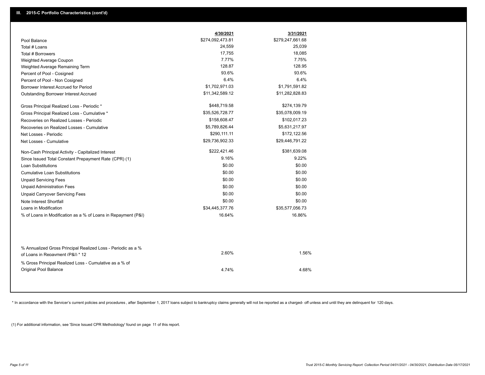|                                                                                                  | 4/30/2021        | 3/31/2021        |
|--------------------------------------------------------------------------------------------------|------------------|------------------|
| Pool Balance                                                                                     | \$274,092,473.81 | \$279,247,661.68 |
| Total # Loans                                                                                    | 24,559           | 25,039           |
| Total # Borrowers                                                                                | 17,755           | 18,085           |
| Weighted Average Coupon                                                                          | 7.77%            | 7.75%            |
| Weighted Average Remaining Term                                                                  | 128.87           | 128.95           |
| Percent of Pool - Cosigned                                                                       | 93.6%            | 93.6%            |
| Percent of Pool - Non Cosigned                                                                   | 6.4%             | 6.4%             |
| Borrower Interest Accrued for Period                                                             | \$1,702,971.03   | \$1,791,591.82   |
| Outstanding Borrower Interest Accrued                                                            | \$11,342,589.12  | \$11,282,828.83  |
| Gross Principal Realized Loss - Periodic *                                                       | \$448,719.58     | \$274,139.79     |
| Gross Principal Realized Loss - Cumulative *                                                     | \$35,526,728.77  | \$35,078,009.19  |
| Recoveries on Realized Losses - Periodic                                                         | \$158,608.47     | \$102,017.23     |
| Recoveries on Realized Losses - Cumulative                                                       | \$5,789,826.44   | \$5,631,217.97   |
| Net Losses - Periodic                                                                            | \$290,111.11     | \$172,122.56     |
| Net Losses - Cumulative                                                                          | \$29,736,902.33  | \$29,446,791.22  |
| Non-Cash Principal Activity - Capitalized Interest                                               | \$222,421.46     | \$381,639.08     |
| Since Issued Total Constant Prepayment Rate (CPR) (1)                                            | 9.16%            | 9.22%            |
| <b>Loan Substitutions</b>                                                                        | \$0.00           | \$0.00           |
| <b>Cumulative Loan Substitutions</b>                                                             | \$0.00           | \$0.00           |
| <b>Unpaid Servicing Fees</b>                                                                     | \$0.00           | \$0.00           |
| <b>Unpaid Administration Fees</b>                                                                | \$0.00           | \$0.00           |
| <b>Unpaid Carryover Servicing Fees</b>                                                           | \$0.00           | \$0.00           |
| Note Interest Shortfall                                                                          | \$0.00           | \$0.00           |
| Loans in Modification                                                                            | \$34,445,377.76  | \$35,577,056.73  |
| % of Loans in Modification as a % of Loans in Repayment (P&I)                                    | 16.64%           | 16.86%           |
|                                                                                                  |                  |                  |
| % Annualized Gross Principal Realized Loss - Periodic as a %<br>of Loans in Repayment (P&I) * 12 | 2.60%            | 1.56%            |
| % Gross Principal Realized Loss - Cumulative as a % of                                           |                  |                  |
| Original Pool Balance                                                                            | 4.74%            | 4.68%            |

\* In accordance with the Servicer's current policies and procedures, after September 1, 2017 loans subject to bankruptcy claims generally will not be reported as a charged- off unless and until they are delinquent for 120

(1) For additional information, see 'Since Issued CPR Methodology' found on page 11 of this report.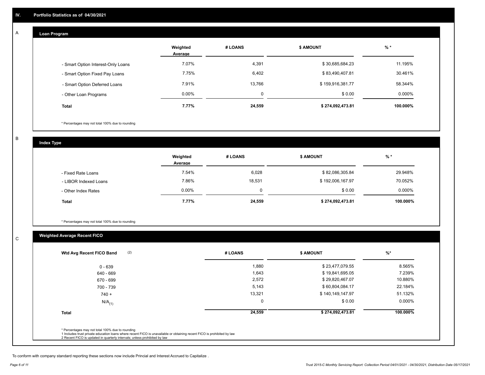#### **Loan Program**  A

|                                    | Weighted<br>Average | # LOANS | <b>\$ AMOUNT</b> | $%$ *    |
|------------------------------------|---------------------|---------|------------------|----------|
| - Smart Option Interest-Only Loans | 7.07%               | 4,391   | \$30,685,684.23  | 11.195%  |
| - Smart Option Fixed Pay Loans     | 7.75%               | 6,402   | \$83,490,407.81  | 30.461%  |
| - Smart Option Deferred Loans      | 7.91%               | 13.766  | \$159,916,381.77 | 58.344%  |
| - Other Loan Programs              | $0.00\%$            |         | \$0.00           | 0.000%   |
| <b>Total</b>                       | 7.77%               | 24,559  | \$274,092,473.81 | 100.000% |

\* Percentages may not total 100% due to rounding

B

C

**Index Type**

|                       | Weighted<br>Average | # LOANS | <b>\$ AMOUNT</b> | % *       |
|-----------------------|---------------------|---------|------------------|-----------|
| - Fixed Rate Loans    | 7.54%               | 6,028   | \$82,086,305.84  | 29.948%   |
| - LIBOR Indexed Loans | 7.86%               | 18,531  | \$192,006,167.97 | 70.052%   |
| - Other Index Rates   | $0.00\%$            | 0       | \$0.00           | $0.000\%$ |
| <b>Total</b>          | 7.77%               | 24,559  | \$274,092,473.81 | 100.000%  |

\* Percentages may not total 100% due to rounding

### **Weighted Average Recent FICO**

| (2)<br>Wtd Avg Recent FICO Band | # LOANS | <b>\$ AMOUNT</b> | $\frac{9}{6}$ * |
|---------------------------------|---------|------------------|-----------------|
| $0 - 639$                       | 1,880   | \$23,477,079.55  | 8.565%          |
| 640 - 669                       | 1,643   | \$19,841,695.05  | 7.239%          |
| 670 - 699                       | 2,572   | \$29,820,467.07  | 10.880%         |
| 700 - 739                       | 5,143   | \$60,804,084.17  | 22.184%         |
| $740 +$                         | 13,321  | \$140,149,147.97 | 51.132%         |
| $N/A$ <sub>(1)</sub>            |         | \$0.00           | 0.000%          |
| <b>Total</b>                    | 24,559  | \$274,092,473.81 | 100.000%        |
|                                 |         |                  |                 |

To conform with company standard reporting these sections now include Princial and Interest Accrued to Capitalize .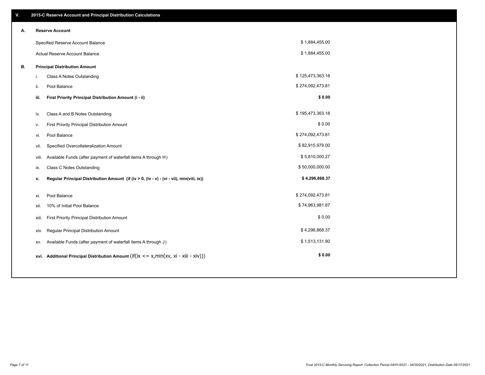| V. |       | 2015-C Reserve Account and Principal Distribution Calculations                                      |                  |  |
|----|-------|-----------------------------------------------------------------------------------------------------|------------------|--|
| А. |       | <b>Reserve Account</b>                                                                              |                  |  |
|    |       | Specified Reserve Account Balance                                                                   | \$1,884,455.00   |  |
|    |       | Actual Reserve Account Balance                                                                      | \$1,884,455.00   |  |
| В. |       | <b>Principal Distribution Amount</b>                                                                |                  |  |
|    | i.    | Class A Notes Outstanding                                                                           | \$125,473,363.18 |  |
|    | ii.   | Pool Balance                                                                                        | \$274,092,473.81 |  |
|    | iii.  | First Priority Principal Distribution Amount (i - ii)                                               | \$0.00           |  |
|    |       |                                                                                                     | \$195,473,363.18 |  |
|    | iv.   | Class A and B Notes Outstanding                                                                     |                  |  |
|    | v.    | First Priority Principal Distribution Amount                                                        | \$0.00           |  |
|    | vi.   | Pool Balance                                                                                        | \$274,092,473.81 |  |
|    | vii.  | Specified Overcollateralization Amount                                                              | \$82,915,979.00  |  |
|    | viii. | Available Funds (after payment of waterfall items A through H)                                      | \$5,810,000.27   |  |
|    | ix.   | <b>Class C Notes Outstanding</b>                                                                    | \$50,000,000.00  |  |
|    | х.    | Regular Principal Distribution Amount (if (iv > 0, (iv - v) - (vi - vii), min(viii, ix))            | \$4,296,868.37   |  |
|    |       |                                                                                                     |                  |  |
|    | xi.   | Pool Balance                                                                                        | \$274,092,473.81 |  |
|    | xii.  | 10% of Initial Pool Balance                                                                         | \$74,963,981.87  |  |
|    | xiii. | First Priority Principal Distribution Amount                                                        | \$0.00           |  |
|    | XIV.  | Regular Principal Distribution Amount                                                               | \$4,296,868.37   |  |
|    | XV.   | Available Funds (after payment of waterfall items A through J)                                      | \$1,513,131.90   |  |
|    |       | xvi. Additional Principal Distribution Amount (if( $ix \le x$ , min( $xv$ , $xi$ - $xiii - xiv$ ))) | \$0.00           |  |
|    |       |                                                                                                     |                  |  |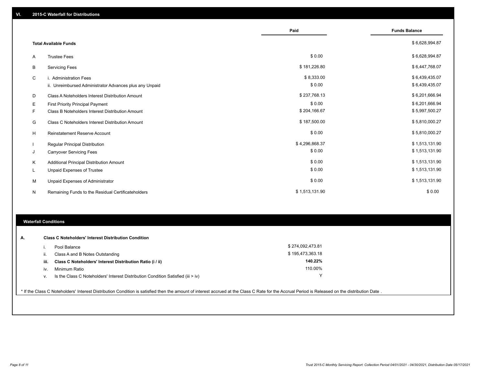|   |                                                         | Paid           | <b>Funds Balance</b> |
|---|---------------------------------------------------------|----------------|----------------------|
|   | <b>Total Available Funds</b>                            |                | \$6,628,994.87       |
| A | <b>Trustee Fees</b>                                     | \$0.00         | \$6,628,994.87       |
| В | <b>Servicing Fees</b>                                   | \$181,226.80   | \$6,447,768.07       |
| C | i. Administration Fees                                  | \$8,333.00     | \$6,439,435.07       |
|   | ii. Unreimbursed Administrator Advances plus any Unpaid | \$0.00         | \$6,439,435.07       |
| D | Class A Noteholders Interest Distribution Amount        | \$237,768.13   | \$6,201,666.94       |
| Е | <b>First Priority Principal Payment</b>                 | \$0.00         | \$6,201,666.94       |
| F | Class B Noteholders Interest Distribution Amount        | \$204,166.67   | \$5,997,500.27       |
| G | <b>Class C Noteholders Interest Distribution Amount</b> | \$187,500.00   | \$5,810,000.27       |
| н | <b>Reinstatement Reserve Account</b>                    | \$0.00         | \$5,810,000.27       |
|   | Regular Principal Distribution                          | \$4,296,868.37 | \$1,513,131.90       |
| J | <b>Carryover Servicing Fees</b>                         | \$0.00         | \$1,513,131.90       |
| Κ | Additional Principal Distribution Amount                | \$0.00         | \$1,513,131.90       |
| L | <b>Unpaid Expenses of Trustee</b>                       | \$0.00         | \$1,513,131.90       |
| M | Unpaid Expenses of Administrator                        | \$0.00         | \$1,513,131.90       |
| N | Remaining Funds to the Residual Certificateholders      | \$1,513,131.90 | \$0.00               |

### **Waterfall Conditions**

| А. |      | <b>Class C Noteholders' Interest Distribution Condition</b>                        |                  |  |
|----|------|------------------------------------------------------------------------------------|------------------|--|
|    |      | Pool Balance                                                                       | \$274,092,473.81 |  |
|    | н.   | Class A and B Notes Outstanding                                                    | \$195,473,363.18 |  |
|    | iii. | Class C Noteholders' Interest Distribution Ratio (i / ii)                          | 140.22%          |  |
|    | IV.  | Minimum Ratio                                                                      | 110.00%          |  |
|    | ν.   | Is the Class C Noteholders' Interest Distribution Condition Satisfied (iii $>$ iv) | v                |  |
|    |      |                                                                                    |                  |  |

\* If the Class C Noteholders' Interest Distribution Condition is satisfied then the amount of interest accrued at the Class C Rate for the Accrual Period is Released on the distribution Date .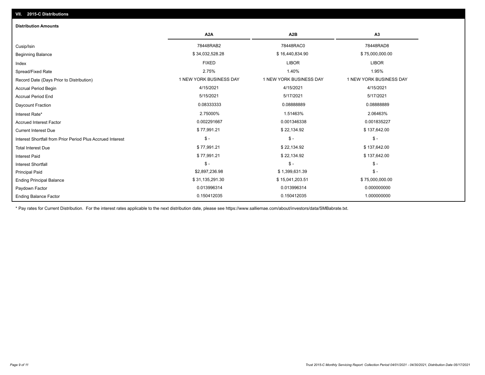## Ending Balance Factor Paydown Factor 0.013996314 0.013996314 0.000000000 Ending Principal Balance \$ 75,000,000.00 \$ \$ 31,135,291.30 \$ 31,135,291.30 \$ 15,041,203.51 \$ 75,000,000.00 \$ 75,000,000.00 Principal Paid \$2,897,236.98 \$ 1,399,631.39 \$ - \$ - \$ - \$ - Interest Shortfall \$ 77,991.21 \$ 22,134.92 \$ 137,642.00 Interest Paid Total Interest Due \$ 77,991.21 \$ 22,134.92 \$ 137,642.00 \$ - \$ - \$ - Interest Shortfall from Prior Period Plus Accrued Interest Current Interest Due \$ 77,991.21 \$ 22,134.92 \$ 137,642.00 Accrued Interest Factor 0.002291667 0.001346338 0.001835227 Interest Rate\* 2.75000% 1.51463% 2.06463% Daycount Fraction 0.08333333 0.08888889 0.08888889 Accrual Period End 5/15/2021 5/17/2021 5/17/2021 Accrual Period Begin 4/15/2021 4/15/2021 4/15/2021 Record Date (Days Prior to Distribution) **1 NEW YORK BUSINESS DAY** 1 NEW YORK BUSINESS DAY 1 NEW YORK BUSINESS DAY Spread/Fixed Rate 2.75% 1.40% 1.95% Index FIXED LIBOR LIBOR Beginning Balance \$ 34,032,528.28 \$ \$ 16,440,834.90 \$ 75,000,000.00 \$ 75,000,000.00 \$ \$ 75,000,000.00 \$ \$ 75,000 Cusip/Isin 78448RAB2 78448RAC0 78448RAD8 **A2A A2B A3** 0.150412035 0.150412035 1.000000000 **Distribution Amounts**

\* Pay rates for Current Distribution. For the interest rates applicable to the next distribution date, please see https://www.salliemae.com/about/investors/data/SMBabrate.txt.

**VII. 2015-C Distributions**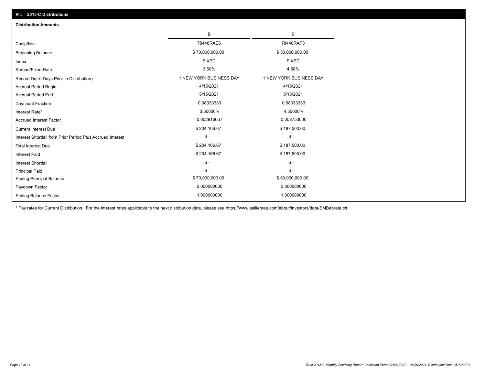| VII. 2015-C Distributions                                  |                         |                         |  |  |  |
|------------------------------------------------------------|-------------------------|-------------------------|--|--|--|
| <b>Distribution Amounts</b>                                |                         |                         |  |  |  |
|                                                            | в                       | С                       |  |  |  |
| Cusip/Isin                                                 | 78448RAE6               | 78448RAF3               |  |  |  |
| <b>Beginning Balance</b>                                   | \$70,000,000.00         | \$50,000,000.00         |  |  |  |
| Index                                                      | <b>FIXED</b>            | <b>FIXED</b>            |  |  |  |
| Spread/Fixed Rate                                          | 3.50%                   | 4.50%                   |  |  |  |
| Record Date (Days Prior to Distribution)                   | 1 NEW YORK BUSINESS DAY | 1 NEW YORK BUSINESS DAY |  |  |  |
| <b>Accrual Period Begin</b>                                | 4/15/2021               | 4/15/2021               |  |  |  |
| <b>Accrual Period End</b>                                  | 5/15/2021               | 5/15/2021               |  |  |  |
| Daycount Fraction                                          | 0.08333333              | 0.08333333              |  |  |  |
| Interest Rate*                                             | 3.50000%                | 4.50000%                |  |  |  |
| <b>Accrued Interest Factor</b>                             | 0.002916667             | 0.003750000             |  |  |  |
| <b>Current Interest Due</b>                                | \$204,166.67            | \$187,500.00            |  |  |  |
| Interest Shortfall from Prior Period Plus Accrued Interest | $\mathcal{S}$ -         | $\mathsf{\$}$ -         |  |  |  |
| <b>Total Interest Due</b>                                  | \$204,166.67            | \$187,500.00            |  |  |  |
| Interest Paid                                              | \$204,166.67            | \$187,500.00            |  |  |  |
| Interest Shortfall                                         | $\mathcal{S}$ -         | $\frac{1}{2}$           |  |  |  |
| <b>Principal Paid</b>                                      | $\mathsf{\$}$ -         | $$ -$                   |  |  |  |
| <b>Ending Principal Balance</b>                            | \$70,000,000.00         | \$50,000,000.00         |  |  |  |
| Paydown Factor                                             | 0.000000000             | 0.000000000             |  |  |  |
| <b>Ending Balance Factor</b>                               | 1.000000000             | 1.000000000             |  |  |  |

\* Pay rates for Current Distribution. For the interest rates applicable to the next distribution date, please see https://www.salliemae.com/about/investors/data/SMBabrate.txt.